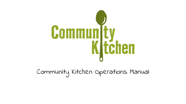

Community Kitchen Operations Manual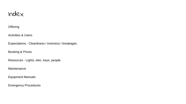

## **Offering**

Activities & Users

Expectations - Cleanliness / inventory / breakages

Booking & Prices

Resources - Lights, elec, keys, people

Maintenance

Equipment Manuals

Emergency Procedures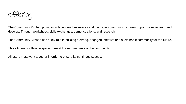

The Community Kitchen provides independent businesses and the wider community with new opportunities to learn and develop. Through workshops, skills exchanges, demonstrations, and research.

The Community Kitchen has a key role in building a strong, engaged, creative and sustainable community for the future.

This kitchen is a flexible space to meet the requirements of the community

All users must work together in order to ensure its continued success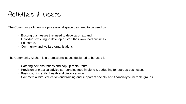## Activities & Users

The Community kitchen is a professional space designed to be used by:

- Existing businesses that need to develop or expand
- Individuals wishing to develop or start their own food business
- Educators,
- Community and welfare organisations

The Community Kitchen is a professional space designed to be used for:

- Catering demonstrations and pop up restaurants
- Provision of practical advice surrounding food hygiene & budgeting for start up businesses
- Basic cooking skills, health and dietary advice
- Commercial hire, education and training and support of socially and financially vulnerable groups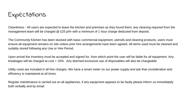Expectations

Cleanliness - All users are expected to leave the kitchen and premises as they found them, any cleaning required from the management team will be charged @ £25 p/hr with a minimum of 1 hour charge deducted from deposit.

The Community Kitchen has been stocked with basic commercial equipment, utensils and cleaning products, users must ensure all equipment remains on site unless prior hire arrangements have been agreed. All items used must be cleaned and suitably stored following any Use or Hire Period.

Upon arrival the inventory must be accepted and signed for, from which point the user will be liable for all equipment. Any breakages will be charged at cost + 10%. Any deemed excessive use of disposables will also be chargeable.

Utility costs are included in all hire charges. We have a smart meter on our power supply and ask that consideration and efficiency is maintained at all times.

Regular maintenance is carried out on all appliances, if any equipment appears to be faulty please inform us immediately both verbally and by email.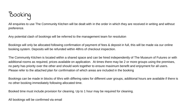

All enquiries to use The Community Kitchen will be dealt with in the order in which they are received in writing and without preference.

Any potential clash of bookings will be referred to the management team for resolution

Bookings will only be allocated following confirmation of payment of fees & deposit in full, this will be made via our online booking system. Deposits will be refunded within 48hrs of checkout inspection.

The Community Kitchen is located within a shared space and can be hired independently of The Museum of Futures or with additional rooms as required, prices available on application. At times there may be 2 or more groups using the premises, no party has priority over the other and should work together to ensure maximum benefit and enjoyment for all users. Please refer to the attached plan for confirmation of which areas are included in the booking

Bookings can be made in blocks of 6hrs with differing rates for different user groups, additional hours are available if there is no other booking immediately following allocated time.

Booked time must include provision for cleaning. Up to 1 hour may be required for cleaning.

All bookings will be confirmed via email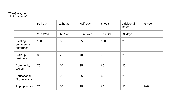## Prices

|                                      | Full Day | 12 hours | Half Day | 6hours  | Additional<br>hours | % Fee |
|--------------------------------------|----------|----------|----------|---------|---------------------|-------|
|                                      | Sun-Wed  | Thu-Sat  | Sun-Wed  | Thu-Sat | All days            |       |
| Existing<br>commercial<br>enterprise | 120      | 180      | 65       | 100     | 25                  |       |
| Start up<br>business                 | 80       | 120      | 40       | 70      | 25                  |       |
| Community<br>Group                   | 70       | 100      | 35       | 60      | 20                  |       |
| Educational<br>Organisation          | 70       | 100      | 35       | 60      | 20                  |       |
| Pop up venue                         | 70       | 100      | 35       | 60      | 25                  | 10%   |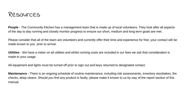

**People** - The Community Kitchen has a management team that is made up of local volunteers. They look after all aspects of the day to day running and closely monitor progress to ensure our short, medium and long term goals are met.

Please consider that all of the team are volunteers and currently offer their time and experience for free, your contact will be made known to you prior to arrival.

**Utilities** - We have a meter on all utilities and whilst running costs are included in our fees we ask that consideration is made to your usage.

All equipment and lights must be turned off prior to sign out and keys returned to designated contact.

**Maintenance -** There is an ongoing schedule of routine maintenance, including risk assessments, inventory stocktakes, fire checks, deep cleans. Should you find any product is faulty, please make it known to us by way of the report section of this manual.